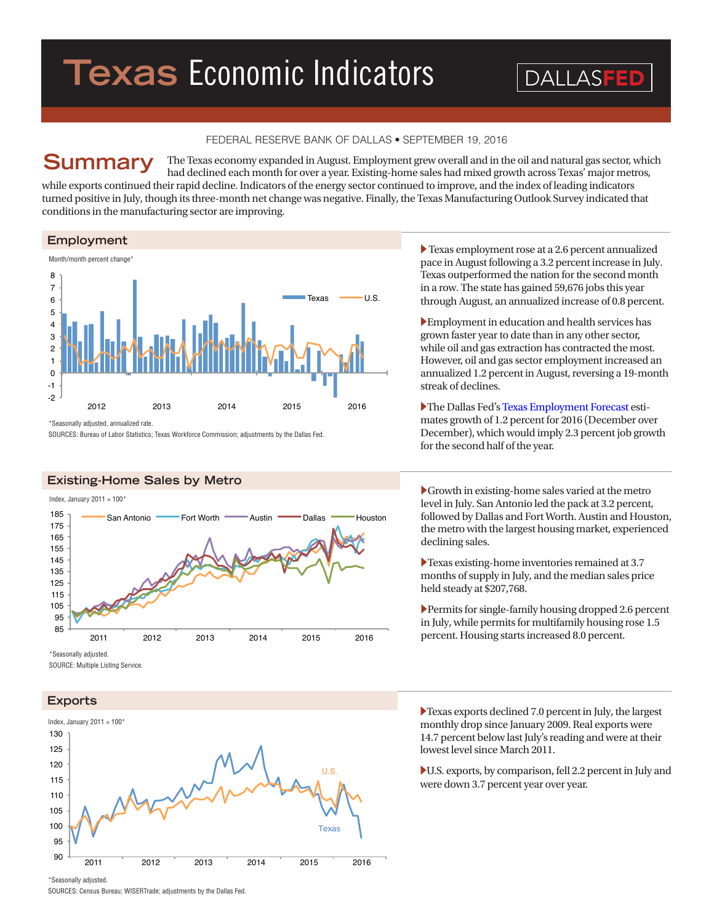# **Texas** Economic Indicators

DALLASFEI

# FEDERAL RESERVE BANK OF DALLAS • SEPTEMBER 19, 2016

The Texas economy expanded in August. Employment grew overall and in the oil and natural gas sector, which had declined each month for over a year. Existing-home sales had mixed growth across Texas' major metros, **Summary**

while exports continued their rapid decline. Indicators of the energy sector continued to improve, and the index of leading indicators turned positive in July, though its three-month net change was negative. Finally, the Texas Manufacturing Outlook Survey indicated that conditions in the manufacturing sector are improving.

**Employment**



\*Seasonally adjusted, annualized rate.

SOURCES: Bureau of Labor Statistics; Texas Workforce Commission; adjustments by the Dallas Fed.

# **Existing-Home Sales by Metro**

Index, January 2011 =  $100^{\circ}$ 



SOURCE: Multiple Listing Service.

### **Exports**



� Texas employment rose at a 2.6 percent annualized pace in August following a 3.2 percent increase in July. Texas outperformed the nation for the second month in a row. The state has gained 59,676 jobs this year through August, an annualized increase of 0.8 percent.

�Employment in education and health services has grown faster year to date than in any other sector, while oil and gas extraction has contracted the most. However, oil and gas sector employment increased an annualized 1.2 percent in August, reversing a 19-month streak of declines.

�The Dallas Fed's [Texas Employment Forecast](http://dallasfed.org/research/forecast/) estimates growth of 1.2 percent for 2016 (December over December), which would imply 2.3 percent job growth for the second half of the year.

�Growth in existing-home sales varied at the metro level in July. San Antonio led the pack at 3.2 percent, followed by Dallas and Fort Worth. Austin and Houston, the metro with the largest housing market, experienced declining sales.

�Texas existing-home inventories remained at 3.7 months of supply in July, and the median sales price held steady at \$207,768.

�Permits for single-family housing dropped 2.6 percent in July, while permits for multifamily housing rose 1.5 percent. Housing starts increased 8.0 percent.

�Texas exports declined 7.0 percent in July, the largest monthly drop since January 2009. Real exports were 14.7 percent below last July's reading and were at their lowest level since March 2011.

�U.S. exports, by comparison, fell 2.2 percent in July and were down 3.7 percent year over year.

\*Seasonally adjusted.

SOURCES: Census Bureau; WISERTrade; adjustments by the Dallas Fed.